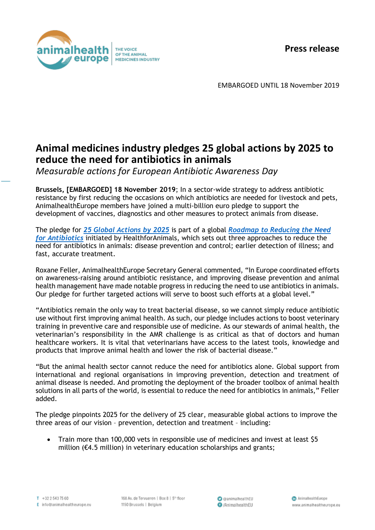**Press release**



EMBARGOED UNTIL 18 November 2019

## **Animal medicines industry pledges 25 global actions by 2025 to reduce the need for antibiotics in animals**

*Measurable actions for European Antibiotic Awareness Day*

**Brussels, [EMBARGOED] 18 November 2019**; In a sector-wide strategy to address antibiotic resistance by first reducing the occasions on which antibiotics are needed for livestock and pets, AnimalhealthEurope members have joined a multi-billion euro pledge to support the development of vaccines, diagnostics and other measures to protect animals from disease.

The pledge for *[25 Global Actions by 2025](https://www.animalhealtheurope.eu/resources/87:roadmap-to-reducing-the-need-for-antibiotics.html)* is part of a global *[Roadmap to Reducing the Need](https://healthforanimals.org/roadmap/)  for [Antibiotics](https://healthforanimals.org/roadmap/)* initiated by HealthforAnimals, which sets out three approaches to reduce the need for antibiotics in animals: disease prevention and control; earlier detection of illness; and fast, accurate treatment.

Roxane Feller, AnimalhealthEurope Secretary General commented, "In Europe coordinated efforts on awareness-raising around antibiotic resistance, and improving disease prevention and animal health management have made notable progress in reducing the need to use antibiotics in animals. Our pledge for further targeted actions will serve to boost such efforts at a global level."

"Antibiotics remain the only way to treat bacterial disease, so we cannot simply reduce antibiotic use without first improving animal health. As such, our pledge includes actions to boost veterinary training in preventive care and responsible use of medicine. As our stewards of animal health, the veterinarian's responsibility in the AMR challenge is as critical as that of doctors and human healthcare workers. It is vital that veterinarians have access to the latest tools, knowledge and products that improve animal health and lower the risk of bacterial disease."

"But the animal health sector cannot reduce the need for antibiotics alone. Global support from international and regional organisations in improving prevention, detection and treatment of animal disease is needed. And promoting the deployment of the broader toolbox of animal health solutions in all parts of the world, is essential to reduce the need for antibiotics in animals," Feller added.

The pledge pinpoints 2025 for the delivery of 25 clear, measurable global actions to improve the three areas of our vision – prevention, detection and treatment – including:

• Train more than 100,000 vets in responsible use of medicines and invest at least \$5 million (€4.5 million) in veterinary education scholarships and grants;